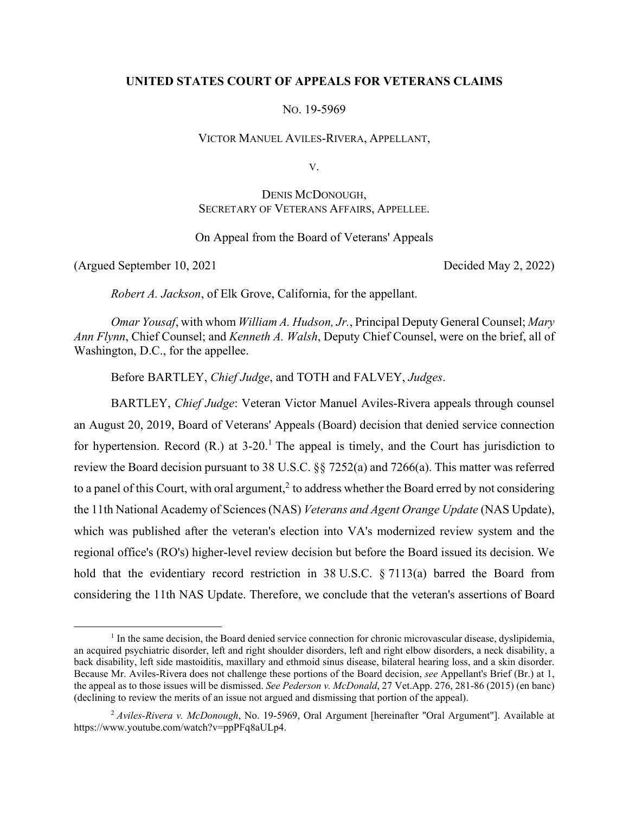### **UNITED STATES COURT OF APPEALS FOR VETERANS CLAIMS**

NO. 19-5969

VICTOR MANUEL AVILES-RIVERA, APPELLANT,

V.

# DENIS MCDONOUGH, SECRETARY OF VETERANS AFFAIRS, APPELLEE.

# On Appeal from the Board of Veterans' Appeals

(Argued September 10, 2021 Decided May 2, 2022)

*Robert A. Jackson*, of Elk Grove, California, for the appellant.

*Omar Yousaf*, with whom *William A. Hudson, Jr.*, Principal Deputy General Counsel; *Mary Ann Flynn*, Chief Counsel; and *Kenneth A. Walsh*, Deputy Chief Counsel, were on the brief, all of Washington, D.C., for the appellee.

Before BARTLEY, *Chief Judge*, and TOTH and FALVEY, *Judges*.

BARTLEY, *Chief Judge*: Veteran Victor Manuel Aviles-Rivera appeals through counsel an August 20, 2019, Board of Veterans' Appeals (Board) decision that denied service connection for hypertension. Record  $(R)$  at 3-20.<sup>1</sup> The appeal is timely, and the Court has jurisdiction to review the Board decision pursuant to 38 U.S.C. §§ 7252(a) and 7266(a). This matter was referred to a panel of this Court, with oral argument,<sup>2</sup> to address whether the Board erred by not considering the 11th National Academy of Sciences (NAS) *Veterans and Agent Orange Update* (NAS Update), which was published after the veteran's election into VA's modernized review system and the regional office's (RO's) higher-level review decision but before the Board issued its decision. We hold that the evidentiary record restriction in 38 U.S.C. § 7113(a) barred the Board from considering the 11th NAS Update. Therefore, we conclude that the veteran's assertions of Board

<sup>&</sup>lt;u>1</u> <sup>1</sup> In the same decision, the Board denied service connection for chronic microvascular disease, dyslipidemia, an acquired psychiatric disorder, left and right shoulder disorders, left and right elbow disorders, a neck disability, a back disability, left side mastoiditis, maxillary and ethmoid sinus disease, bilateral hearing loss, and a skin disorder. Because Mr. Aviles-Rivera does not challenge these portions of the Board decision, *see* Appellant's Brief (Br.) at 1, the appeal as to those issues will be dismissed. *See Pederson v. McDonald*, 27 Vet.App. 276, 281-86 (2015) (en banc) (declining to review the merits of an issue not argued and dismissing that portion of the appeal).

<sup>2</sup> *Aviles-Rivera v. McDonough*, No. 19-5969, Oral Argument [hereinafter "Oral Argument"]. Available at https://www.youtube.com/watch?v=ppPFq8aULp4.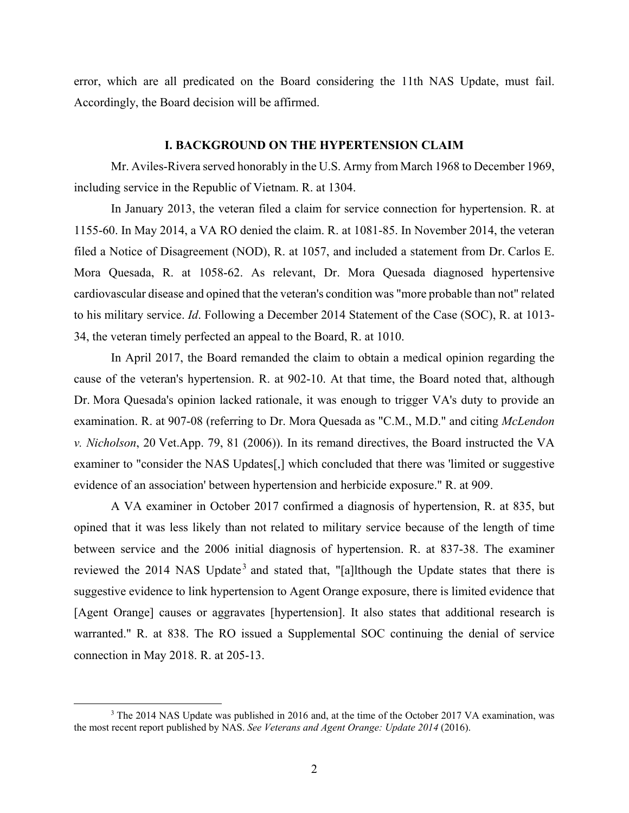error, which are all predicated on the Board considering the 11th NAS Update, must fail. Accordingly, the Board decision will be affirmed.

### **I. BACKGROUND ON THE HYPERTENSION CLAIM**

Mr. Aviles-Rivera served honorably in the U.S. Army from March 1968 to December 1969, including service in the Republic of Vietnam. R. at 1304.

In January 2013, the veteran filed a claim for service connection for hypertension. R. at 1155-60. In May 2014, a VA RO denied the claim. R. at 1081-85. In November 2014, the veteran filed a Notice of Disagreement (NOD), R. at 1057, and included a statement from Dr. Carlos E. Mora Quesada, R. at 1058-62. As relevant, Dr. Mora Quesada diagnosed hypertensive cardiovascular disease and opined that the veteran's condition was "more probable than not" related to his military service. *Id*. Following a December 2014 Statement of the Case (SOC), R. at 1013- 34, the veteran timely perfected an appeal to the Board, R. at 1010.

In April 2017, the Board remanded the claim to obtain a medical opinion regarding the cause of the veteran's hypertension. R. at 902-10. At that time, the Board noted that, although Dr. Mora Quesada's opinion lacked rationale, it was enough to trigger VA's duty to provide an examination. R. at 907-08 (referring to Dr. Mora Quesada as "C.M., M.D." and citing *McLendon v. Nicholson*, 20 Vet.App. 79, 81 (2006)). In its remand directives, the Board instructed the VA examiner to "consider the NAS Updates[,] which concluded that there was 'limited or suggestive evidence of an association' between hypertension and herbicide exposure." R. at 909.

A VA examiner in October 2017 confirmed a diagnosis of hypertension, R. at 835, but opined that it was less likely than not related to military service because of the length of time between service and the 2006 initial diagnosis of hypertension. R. at 837-38. The examiner reviewed the 2014 NAS Update<sup>3</sup> and stated that, "[a]lthough the Update states that there is suggestive evidence to link hypertension to Agent Orange exposure, there is limited evidence that [Agent Orange] causes or aggravates [hypertension]. It also states that additional research is warranted." R. at 838. The RO issued a Supplemental SOC continuing the denial of service connection in May 2018. R. at 205-13.

 <sup>3</sup> <sup>3</sup> The 2014 NAS Update was published in 2016 and, at the time of the October 2017 VA examination, was the most recent report published by NAS. *See Veterans and Agent Orange: Update 2014* (2016).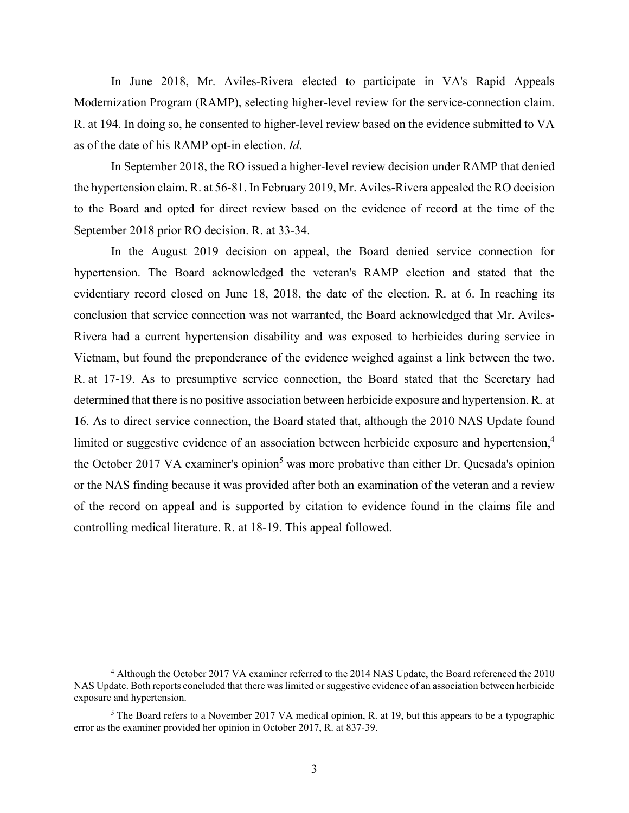In June 2018, Mr. Aviles-Rivera elected to participate in VA's Rapid Appeals Modernization Program (RAMP), selecting higher-level review for the service-connection claim. R. at 194. In doing so, he consented to higher-level review based on the evidence submitted to VA as of the date of his RAMP opt-in election. *Id*.

In September 2018, the RO issued a higher-level review decision under RAMP that denied the hypertension claim. R. at 56-81. In February 2019, Mr. Aviles-Rivera appealed the RO decision to the Board and opted for direct review based on the evidence of record at the time of the September 2018 prior RO decision. R. at 33-34.

In the August 2019 decision on appeal, the Board denied service connection for hypertension. The Board acknowledged the veteran's RAMP election and stated that the evidentiary record closed on June 18, 2018, the date of the election. R. at 6. In reaching its conclusion that service connection was not warranted, the Board acknowledged that Mr. Aviles-Rivera had a current hypertension disability and was exposed to herbicides during service in Vietnam, but found the preponderance of the evidence weighed against a link between the two. R. at 17-19. As to presumptive service connection, the Board stated that the Secretary had determined that there is no positive association between herbicide exposure and hypertension. R. at 16. As to direct service connection, the Board stated that, although the 2010 NAS Update found limited or suggestive evidence of an association between herbicide exposure and hypertension,<sup>4</sup> the October 2017 VA examiner's opinion<sup>5</sup> was more probative than either Dr. Quesada's opinion or the NAS finding because it was provided after both an examination of the veteran and a review of the record on appeal and is supported by citation to evidence found in the claims file and controlling medical literature. R. at 18-19. This appeal followed.

 $\overline{a}$  Although the October 2017 VA examiner referred to the 2014 NAS Update, the Board referenced the 2010 NAS Update. Both reports concluded that there was limited or suggestive evidence of an association between herbicide exposure and hypertension.

<sup>&</sup>lt;sup>5</sup> The Board refers to a November 2017 VA medical opinion, R. at 19, but this appears to be a typographic error as the examiner provided her opinion in October 2017, R. at 837-39.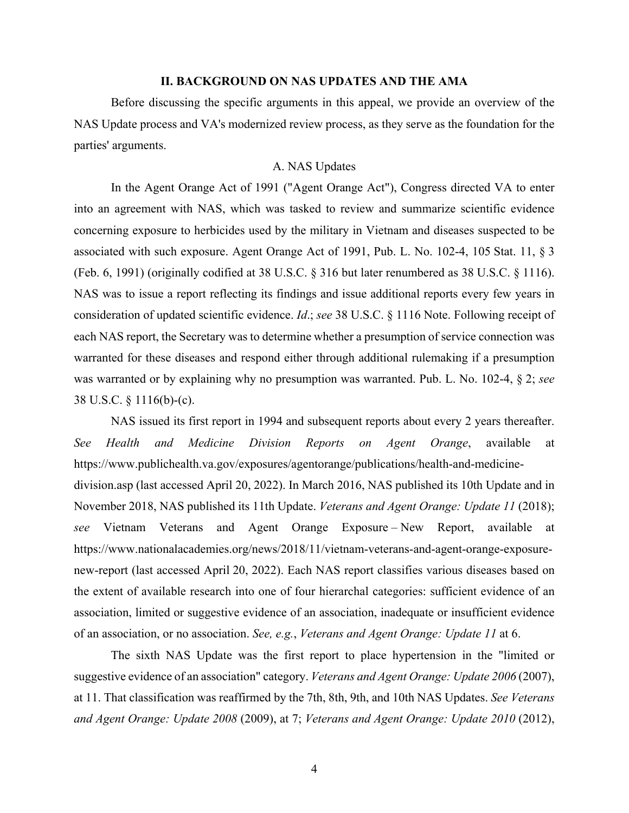### **II. BACKGROUND ON NAS UPDATES AND THE AMA**

 Before discussing the specific arguments in this appeal, we provide an overview of the NAS Update process and VA's modernized review process, as they serve as the foundation for the parties' arguments.

# A. NAS Updates

In the Agent Orange Act of 1991 ("Agent Orange Act"), Congress directed VA to enter into an agreement with NAS, which was tasked to review and summarize scientific evidence concerning exposure to herbicides used by the military in Vietnam and diseases suspected to be associated with such exposure. Agent Orange Act of 1991, Pub. L. No. 102-4, 105 Stat. 11, § 3 (Feb. 6, 1991) (originally codified at 38 U.S.C. § 316 but later renumbered as 38 U.S.C. § 1116). NAS was to issue a report reflecting its findings and issue additional reports every few years in consideration of updated scientific evidence. *Id*.; *see* 38 U.S.C. § 1116 Note. Following receipt of each NAS report, the Secretary was to determine whether a presumption of service connection was warranted for these diseases and respond either through additional rulemaking if a presumption was warranted or by explaining why no presumption was warranted. Pub. L. No. 102-4, § 2; *see* 38 U.S.C. § 1116(b)-(c).

NAS issued its first report in 1994 and subsequent reports about every 2 years thereafter. *See Health and Medicine Division Reports on Agent Orange*, available at https://www.publichealth.va.gov/exposures/agentorange/publications/health-and-medicinedivision.asp (last accessed April 20, 2022). In March 2016, NAS published its 10th Update and in November 2018, NAS published its 11th Update. *Veterans and Agent Orange: Update 11* (2018); *see* Vietnam Veterans and Agent Orange Exposure – New Report, available at https://www.nationalacademies.org/news/2018/11/vietnam-veterans-and-agent-orange-exposurenew-report (last accessed April 20, 2022). Each NAS report classifies various diseases based on the extent of available research into one of four hierarchal categories: sufficient evidence of an association, limited or suggestive evidence of an association, inadequate or insufficient evidence of an association, or no association. *See, e.g.*, *Veterans and Agent Orange: Update 11* at 6.

The sixth NAS Update was the first report to place hypertension in the "limited or suggestive evidence of an association" category. *Veterans and Agent Orange: Update 2006* (2007), at 11. That classification was reaffirmed by the 7th, 8th, 9th, and 10th NAS Updates. *See Veterans and Agent Orange: Update 2008* (2009), at 7; *Veterans and Agent Orange: Update 2010* (2012),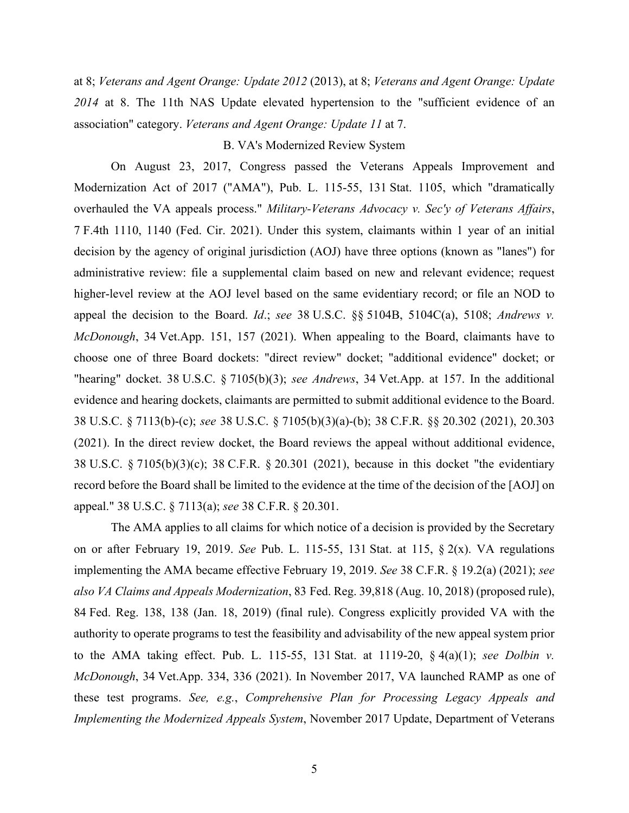at 8; *Veterans and Agent Orange: Update 2012* (2013), at 8; *Veterans and Agent Orange: Update 2014* at 8. The 11th NAS Update elevated hypertension to the "sufficient evidence of an association" category. *Veterans and Agent Orange: Update 11* at 7.

### B. VA's Modernized Review System

On August 23, 2017, Congress passed the Veterans Appeals Improvement and Modernization Act of 2017 ("AMA"), Pub. L. 115-55, 131 Stat. 1105, which "dramatically overhauled the VA appeals process." *Military-Veterans Advocacy v. Sec'y of Veterans Affairs*, 7 F.4th 1110, 1140 (Fed. Cir. 2021). Under this system, claimants within 1 year of an initial decision by the agency of original jurisdiction (AOJ) have three options (known as "lanes") for administrative review: file a supplemental claim based on new and relevant evidence; request higher-level review at the AOJ level based on the same evidentiary record; or file an NOD to appeal the decision to the Board. *Id*.; *see* 38 U.S.C. §§ 5104B, 5104C(a), 5108; *Andrews v. McDonough*, 34 Vet.App. 151, 157 (2021). When appealing to the Board, claimants have to choose one of three Board dockets: "direct review" docket; "additional evidence" docket; or "hearing" docket. 38 U.S.C. § 7105(b)(3); *see Andrews*, 34 Vet.App. at 157. In the additional evidence and hearing dockets, claimants are permitted to submit additional evidence to the Board. 38 U.S.C. § 7113(b)-(c); *see* 38 U.S.C. § 7105(b)(3)(a)-(b); 38 C.F.R. §§ 20.302 (2021), 20.303 (2021). In the direct review docket, the Board reviews the appeal without additional evidence, 38 U.S.C. § 7105(b)(3)(c); 38 C.F.R. § 20.301 (2021), because in this docket "the evidentiary record before the Board shall be limited to the evidence at the time of the decision of the [AOJ] on appeal." 38 U.S.C. § 7113(a); *see* 38 C.F.R. § 20.301.

The AMA applies to all claims for which notice of a decision is provided by the Secretary on or after February 19, 2019. *See* Pub. L. 115-55, 131 Stat. at 115, § 2(x). VA regulations implementing the AMA became effective February 19, 2019. *See* 38 C.F.R. § 19.2(a) (2021); *see also VA Claims and Appeals Modernization*, 83 Fed. Reg. 39,818 (Aug. 10, 2018) (proposed rule), 84 Fed. Reg. 138, 138 (Jan. 18, 2019) (final rule). Congress explicitly provided VA with the authority to operate programs to test the feasibility and advisability of the new appeal system prior to the AMA taking effect. Pub. L. 115-55, 131 Stat. at 1119-20, § 4(a)(1); *see Dolbin v. McDonough*, 34 Vet.App. 334, 336 (2021). In November 2017, VA launched RAMP as one of these test programs. *See, e.g.*, *Comprehensive Plan for Processing Legacy Appeals and Implementing the Modernized Appeals System*, November 2017 Update, Department of Veterans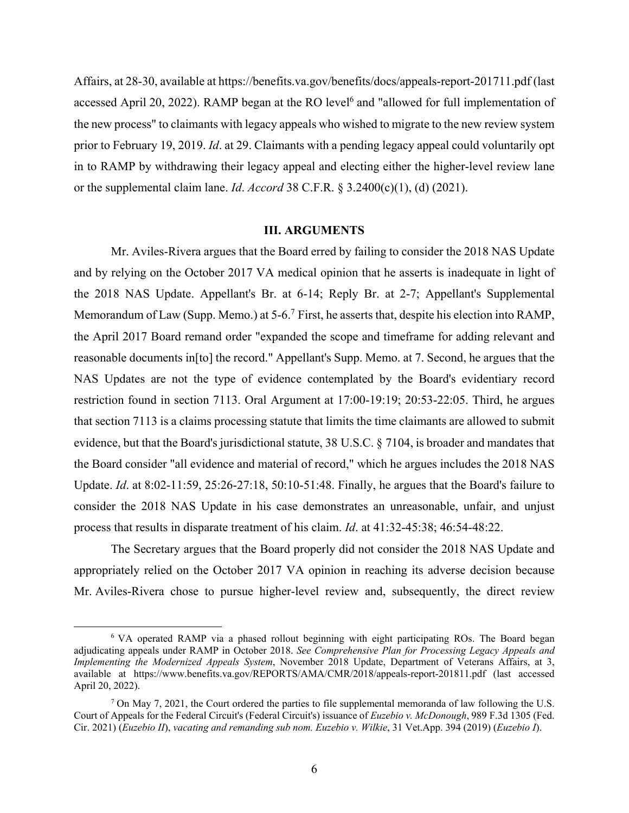Affairs, at 28-30, available at https://benefits.va.gov/benefits/docs/appeals-report-201711.pdf (last accessed April 20, 2022). RAMP began at the RO level<sup>6</sup> and "allowed for full implementation of the new process" to claimants with legacy appeals who wished to migrate to the new review system prior to February 19, 2019. *Id*. at 29. Claimants with a pending legacy appeal could voluntarily opt in to RAMP by withdrawing their legacy appeal and electing either the higher-level review lane or the supplemental claim lane. *Id*. *Accord* 38 C.F.R. § 3.2400(c)(1), (d) (2021).

#### **III. ARGUMENTS**

 Mr. Aviles-Rivera argues that the Board erred by failing to consider the 2018 NAS Update and by relying on the October 2017 VA medical opinion that he asserts is inadequate in light of the 2018 NAS Update. Appellant's Br. at 6-14; Reply Br. at 2-7; Appellant's Supplemental Memorandum of Law (Supp. Memo.) at 5-6.<sup>7</sup> First, he asserts that, despite his election into RAMP, the April 2017 Board remand order "expanded the scope and timeframe for adding relevant and reasonable documents in[to] the record." Appellant's Supp. Memo. at 7. Second, he argues that the NAS Updates are not the type of evidence contemplated by the Board's evidentiary record restriction found in section 7113. Oral Argument at 17:00-19:19; 20:53-22:05. Third, he argues that section 7113 is a claims processing statute that limits the time claimants are allowed to submit evidence, but that the Board's jurisdictional statute, 38 U.S.C. § 7104, is broader and mandates that the Board consider "all evidence and material of record," which he argues includes the 2018 NAS Update. *Id*. at 8:02-11:59, 25:26-27:18, 50:10-51:48. Finally, he argues that the Board's failure to consider the 2018 NAS Update in his case demonstrates an unreasonable, unfair, and unjust process that results in disparate treatment of his claim. *Id*. at 41:32-45:38; 46:54-48:22.

The Secretary argues that the Board properly did not consider the 2018 NAS Update and appropriately relied on the October 2017 VA opinion in reaching its adverse decision because Mr. Aviles-Rivera chose to pursue higher-level review and, subsequently, the direct review

<sup>&</sup>lt;sup>6</sup> VA operated RAMP via a phased rollout beginning with eight participating ROs. The Board began adjudicating appeals under RAMP in October 2018. *See Comprehensive Plan for Processing Legacy Appeals and Implementing the Modernized Appeals System*, November 2018 Update, Department of Veterans Affairs, at 3, available at https://www.benefits.va.gov/REPORTS/AMA/CMR/2018/appeals-report-201811.pdf (last accessed April 20, 2022).

<sup>&</sup>lt;sup>7</sup> On May 7, 2021, the Court ordered the parties to file supplemental memoranda of law following the U.S. Court of Appeals for the Federal Circuit's (Federal Circuit's) issuance of *Euzebio v. McDonough*, 989 F.3d 1305 (Fed. Cir. 2021) (*Euzebio II*), *vacating and remanding sub nom. Euzebio v. Wilkie*, 31 Vet.App. 394 (2019) (*Euzebio I*).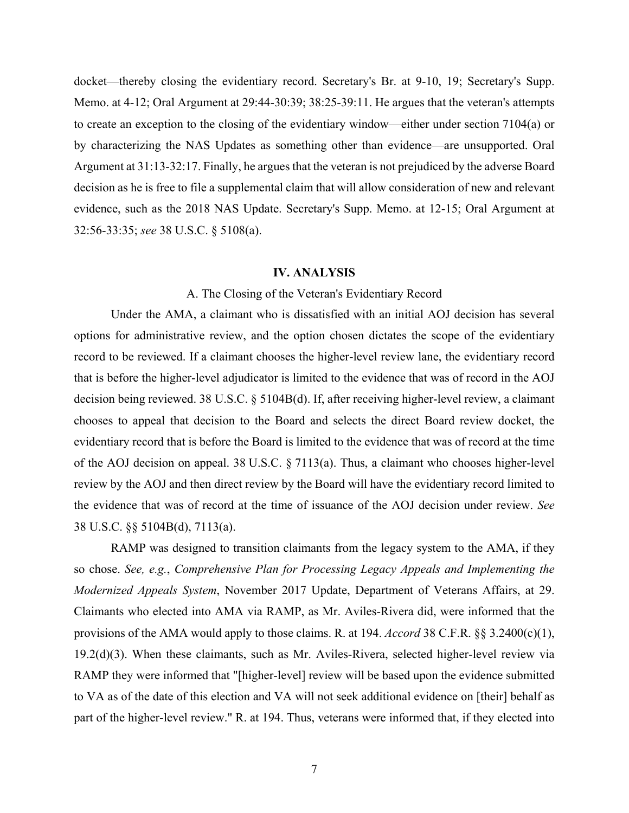docket—thereby closing the evidentiary record. Secretary's Br. at 9-10, 19; Secretary's Supp. Memo. at 4-12; Oral Argument at 29:44-30:39; 38:25-39:11. He argues that the veteran's attempts to create an exception to the closing of the evidentiary window—either under section 7104(a) or by characterizing the NAS Updates as something other than evidence—are unsupported. Oral Argument at 31:13-32:17. Finally, he argues that the veteran is not prejudiced by the adverse Board decision as he is free to file a supplemental claim that will allow consideration of new and relevant evidence, such as the 2018 NAS Update. Secretary's Supp. Memo. at 12-15; Oral Argument at 32:56-33:35; *see* 38 U.S.C. § 5108(a).

### **IV. ANALYSIS**

### A. The Closing of the Veteran's Evidentiary Record

Under the AMA, a claimant who is dissatisfied with an initial AOJ decision has several options for administrative review, and the option chosen dictates the scope of the evidentiary record to be reviewed. If a claimant chooses the higher-level review lane, the evidentiary record that is before the higher-level adjudicator is limited to the evidence that was of record in the AOJ decision being reviewed. 38 U.S.C. § 5104B(d). If, after receiving higher-level review, a claimant chooses to appeal that decision to the Board and selects the direct Board review docket, the evidentiary record that is before the Board is limited to the evidence that was of record at the time of the AOJ decision on appeal. 38 U.S.C. § 7113(a). Thus, a claimant who chooses higher-level review by the AOJ and then direct review by the Board will have the evidentiary record limited to the evidence that was of record at the time of issuance of the AOJ decision under review. *See* 38 U.S.C. §§ 5104B(d), 7113(a).

RAMP was designed to transition claimants from the legacy system to the AMA, if they so chose. *See, e.g.*, *Comprehensive Plan for Processing Legacy Appeals and Implementing the Modernized Appeals System*, November 2017 Update, Department of Veterans Affairs, at 29. Claimants who elected into AMA via RAMP, as Mr. Aviles-Rivera did, were informed that the provisions of the AMA would apply to those claims. R. at 194. *Accord* 38 C.F.R. §§ 3.2400(c)(1), 19.2(d)(3). When these claimants, such as Mr. Aviles-Rivera, selected higher-level review via RAMP they were informed that "[higher-level] review will be based upon the evidence submitted to VA as of the date of this election and VA will not seek additional evidence on [their] behalf as part of the higher-level review." R. at 194. Thus, veterans were informed that, if they elected into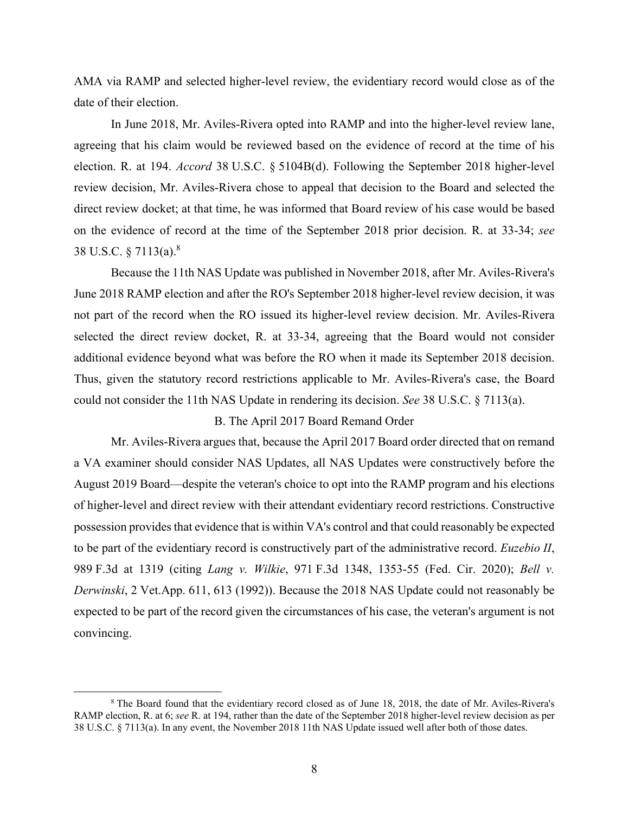AMA via RAMP and selected higher-level review, the evidentiary record would close as of the date of their election.

 In June 2018, Mr. Aviles-Rivera opted into RAMP and into the higher-level review lane, agreeing that his claim would be reviewed based on the evidence of record at the time of his election. R. at 194. *Accord* 38 U.S.C. § 5104B(d). Following the September 2018 higher-level review decision, Mr. Aviles-Rivera chose to appeal that decision to the Board and selected the direct review docket; at that time, he was informed that Board review of his case would be based on the evidence of record at the time of the September 2018 prior decision. R. at 33-34; *see* 38 U.S.C. § 7113(a).8

 Because the 11th NAS Update was published in November 2018, after Mr. Aviles-Rivera's June 2018 RAMP election and after the RO's September 2018 higher-level review decision, it was not part of the record when the RO issued its higher-level review decision. Mr. Aviles-Rivera selected the direct review docket, R. at 33-34, agreeing that the Board would not consider additional evidence beyond what was before the RO when it made its September 2018 decision. Thus, given the statutory record restrictions applicable to Mr. Aviles-Rivera's case, the Board could not consider the 11th NAS Update in rendering its decision. *See* 38 U.S.C. § 7113(a).

### B. The April 2017 Board Remand Order

 Mr. Aviles-Rivera argues that, because the April 2017 Board order directed that on remand a VA examiner should consider NAS Updates, all NAS Updates were constructively before the August 2019 Board—despite the veteran's choice to opt into the RAMP program and his elections of higher-level and direct review with their attendant evidentiary record restrictions. Constructive possession provides that evidence that is within VA's control and that could reasonably be expected to be part of the evidentiary record is constructively part of the administrative record. *Euzebio II*, 989 F.3d at 1319 (citing *Lang v. Wilkie*, 971 F.3d 1348, 1353-55 (Fed. Cir. 2020); *Bell v. Derwinski*, 2 Vet.App. 611, 613 (1992)). Because the 2018 NAS Update could not reasonably be expected to be part of the record given the circumstances of his case, the veteran's argument is not convincing.

 $\begin{array}{c|c}\n\hline\n\end{array}$  The Board found that the evidentiary record closed as of June 18, 2018, the date of Mr. Aviles-Rivera's RAMP election, R. at 6; *see* R. at 194, rather than the date of the September 2018 higher-level review decision as per 38 U.S.C. § 7113(a). In any event, the November 2018 11th NAS Update issued well after both of those dates.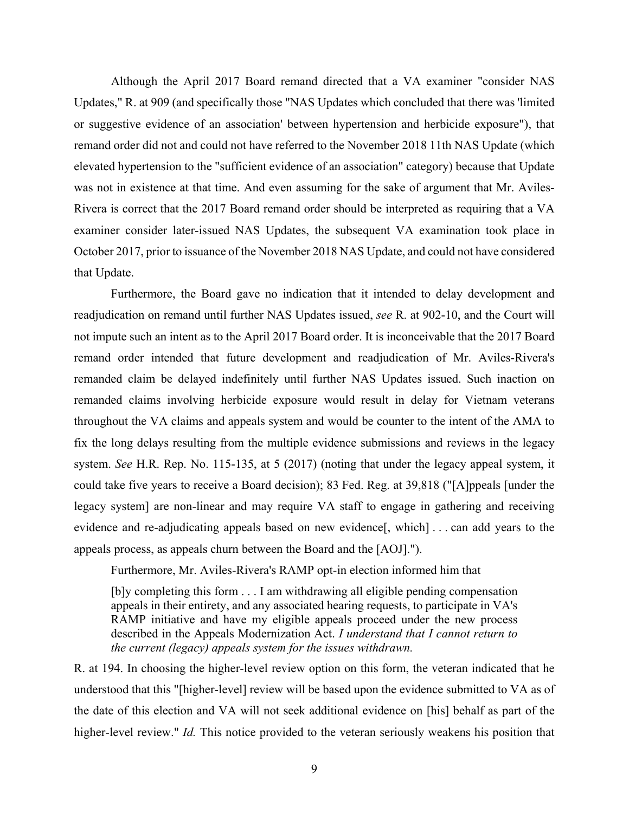Although the April 2017 Board remand directed that a VA examiner "consider NAS Updates," R. at 909 (and specifically those "NAS Updates which concluded that there was 'limited or suggestive evidence of an association' between hypertension and herbicide exposure"), that remand order did not and could not have referred to the November 2018 11th NAS Update (which elevated hypertension to the "sufficient evidence of an association" category) because that Update was not in existence at that time. And even assuming for the sake of argument that Mr. Aviles-Rivera is correct that the 2017 Board remand order should be interpreted as requiring that a VA examiner consider later-issued NAS Updates, the subsequent VA examination took place in October 2017, prior to issuance of the November 2018 NAS Update, and could not have considered that Update.

Furthermore, the Board gave no indication that it intended to delay development and readjudication on remand until further NAS Updates issued, *see* R. at 902-10, and the Court will not impute such an intent as to the April 2017 Board order. It is inconceivable that the 2017 Board remand order intended that future development and readjudication of Mr. Aviles-Rivera's remanded claim be delayed indefinitely until further NAS Updates issued. Such inaction on remanded claims involving herbicide exposure would result in delay for Vietnam veterans throughout the VA claims and appeals system and would be counter to the intent of the AMA to fix the long delays resulting from the multiple evidence submissions and reviews in the legacy system. *See* H.R. Rep. No. 115-135, at 5 (2017) (noting that under the legacy appeal system, it could take five years to receive a Board decision); 83 Fed. Reg. at 39,818 ("[A]ppeals [under the legacy system] are non-linear and may require VA staff to engage in gathering and receiving evidence and re-adjudicating appeals based on new evidence[, which] . . . can add years to the appeals process, as appeals churn between the Board and the [AOJ].").

Furthermore, Mr. Aviles-Rivera's RAMP opt-in election informed him that

[b]y completing this form . . . I am withdrawing all eligible pending compensation appeals in their entirety, and any associated hearing requests, to participate in VA's RAMP initiative and have my eligible appeals proceed under the new process described in the Appeals Modernization Act. *I understand that I cannot return to the current (legacy) appeals system for the issues withdrawn.* 

R. at 194. In choosing the higher-level review option on this form, the veteran indicated that he understood that this "[higher-level] review will be based upon the evidence submitted to VA as of the date of this election and VA will not seek additional evidence on [his] behalf as part of the higher-level review." *Id.* This notice provided to the veteran seriously weakens his position that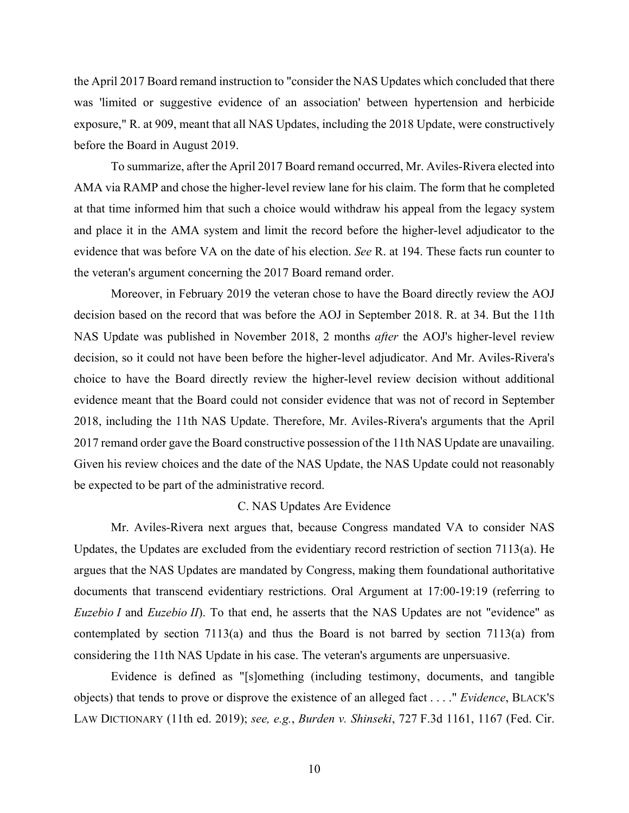the April 2017 Board remand instruction to "consider the NAS Updates which concluded that there was 'limited or suggestive evidence of an association' between hypertension and herbicide exposure," R. at 909, meant that all NAS Updates, including the 2018 Update, were constructively before the Board in August 2019.

To summarize, after the April 2017 Board remand occurred, Mr. Aviles-Rivera elected into AMA via RAMP and chose the higher-level review lane for his claim. The form that he completed at that time informed him that such a choice would withdraw his appeal from the legacy system and place it in the AMA system and limit the record before the higher-level adjudicator to the evidence that was before VA on the date of his election. *See* R. at 194. These facts run counter to the veteran's argument concerning the 2017 Board remand order.

Moreover, in February 2019 the veteran chose to have the Board directly review the AOJ decision based on the record that was before the AOJ in September 2018. R. at 34. But the 11th NAS Update was published in November 2018, 2 months *after* the AOJ's higher-level review decision, so it could not have been before the higher-level adjudicator. And Mr. Aviles-Rivera's choice to have the Board directly review the higher-level review decision without additional evidence meant that the Board could not consider evidence that was not of record in September 2018, including the 11th NAS Update. Therefore, Mr. Aviles-Rivera's arguments that the April 2017 remand order gave the Board constructive possession of the 11th NAS Update are unavailing. Given his review choices and the date of the NAS Update, the NAS Update could not reasonably be expected to be part of the administrative record.

### C. NAS Updates Are Evidence

Mr. Aviles-Rivera next argues that, because Congress mandated VA to consider NAS Updates, the Updates are excluded from the evidentiary record restriction of section 7113(a). He argues that the NAS Updates are mandated by Congress, making them foundational authoritative documents that transcend evidentiary restrictions. Oral Argument at 17:00-19:19 (referring to *Euzebio I* and *Euzebio II*). To that end, he asserts that the NAS Updates are not "evidence" as contemplated by section 7113(a) and thus the Board is not barred by section 7113(a) from considering the 11th NAS Update in his case. The veteran's arguments are unpersuasive.

Evidence is defined as "[s]omething (including testimony, documents, and tangible objects) that tends to prove or disprove the existence of an alleged fact . . . ." *Evidence*, BLACK'S LAW DICTIONARY (11th ed. 2019); *see, e.g.*, *Burden v. Shinseki*, 727 F.3d 1161, 1167 (Fed. Cir.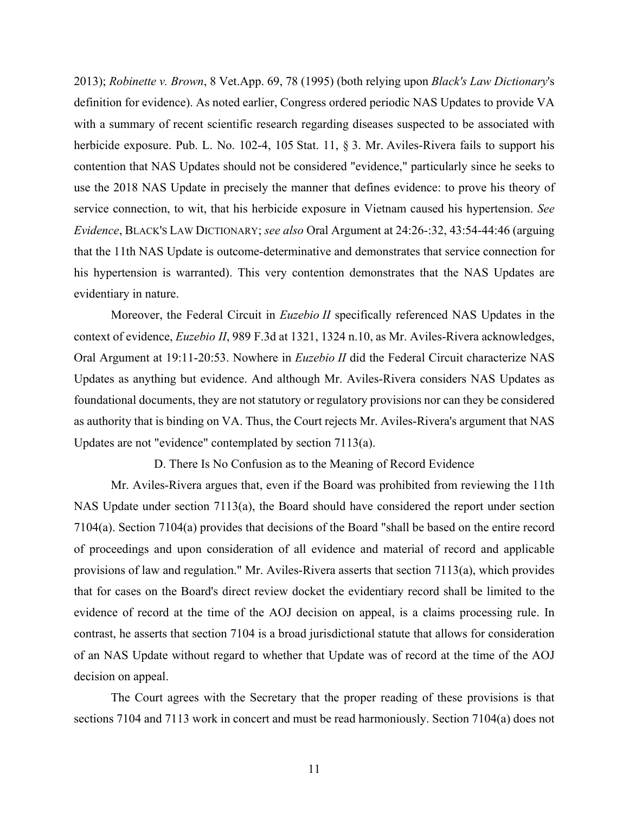2013); *Robinette v. Brown*, 8 Vet.App. 69, 78 (1995) (both relying upon *Black's Law Dictionary*'s definition for evidence). As noted earlier, Congress ordered periodic NAS Updates to provide VA with a summary of recent scientific research regarding diseases suspected to be associated with herbicide exposure. Pub. L. No. 102-4, 105 Stat. 11, § 3. Mr. Aviles-Rivera fails to support his contention that NAS Updates should not be considered "evidence," particularly since he seeks to use the 2018 NAS Update in precisely the manner that defines evidence: to prove his theory of service connection, to wit, that his herbicide exposure in Vietnam caused his hypertension. *See Evidence*, BLACK'S LAW DICTIONARY; *see also* Oral Argument at 24:26-:32, 43:54-44:46 (arguing that the 11th NAS Update is outcome-determinative and demonstrates that service connection for his hypertension is warranted). This very contention demonstrates that the NAS Updates are evidentiary in nature.

Moreover, the Federal Circuit in *Euzebio II* specifically referenced NAS Updates in the context of evidence, *Euzebio II*, 989 F.3d at 1321, 1324 n.10, as Mr. Aviles-Rivera acknowledges, Oral Argument at 19:11-20:53. Nowhere in *Euzebio II* did the Federal Circuit characterize NAS Updates as anything but evidence. And although Mr. Aviles-Rivera considers NAS Updates as foundational documents, they are not statutory or regulatory provisions nor can they be considered as authority that is binding on VA. Thus, the Court rejects Mr. Aviles-Rivera's argument that NAS Updates are not "evidence" contemplated by section 7113(a).

D. There Is No Confusion as to the Meaning of Record Evidence

Mr. Aviles-Rivera argues that, even if the Board was prohibited from reviewing the 11th NAS Update under section 7113(a), the Board should have considered the report under section 7104(a). Section 7104(a) provides that decisions of the Board "shall be based on the entire record of proceedings and upon consideration of all evidence and material of record and applicable provisions of law and regulation." Mr. Aviles-Rivera asserts that section 7113(a), which provides that for cases on the Board's direct review docket the evidentiary record shall be limited to the evidence of record at the time of the AOJ decision on appeal, is a claims processing rule. In contrast, he asserts that section 7104 is a broad jurisdictional statute that allows for consideration of an NAS Update without regard to whether that Update was of record at the time of the AOJ decision on appeal.

The Court agrees with the Secretary that the proper reading of these provisions is that sections 7104 and 7113 work in concert and must be read harmoniously. Section 7104(a) does not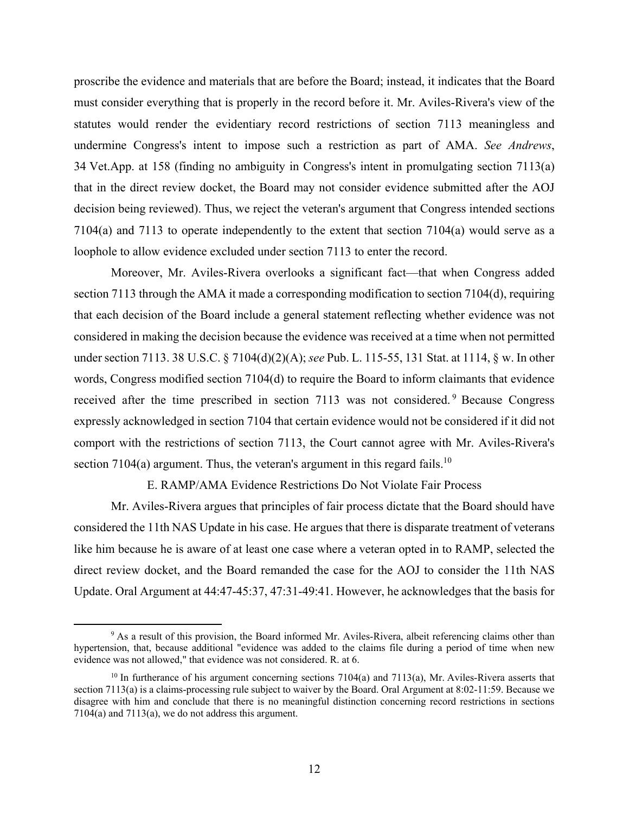proscribe the evidence and materials that are before the Board; instead, it indicates that the Board must consider everything that is properly in the record before it. Mr. Aviles-Rivera's view of the statutes would render the evidentiary record restrictions of section 7113 meaningless and undermine Congress's intent to impose such a restriction as part of AMA. *See Andrews*, 34 Vet.App. at 158 (finding no ambiguity in Congress's intent in promulgating section 7113(a) that in the direct review docket, the Board may not consider evidence submitted after the AOJ decision being reviewed). Thus, we reject the veteran's argument that Congress intended sections 7104(a) and 7113 to operate independently to the extent that section 7104(a) would serve as a loophole to allow evidence excluded under section 7113 to enter the record.

Moreover, Mr. Aviles-Rivera overlooks a significant fact—that when Congress added section 7113 through the AMA it made a corresponding modification to section 7104(d), requiring that each decision of the Board include a general statement reflecting whether evidence was not considered in making the decision because the evidence was received at a time when not permitted under section 7113. 38 U.S.C. § 7104(d)(2)(A); *see* Pub. L. 115-55, 131 Stat. at 1114, § w. In other words, Congress modified section 7104(d) to require the Board to inform claimants that evidence received after the time prescribed in section 7113 was not considered.<sup>9</sup> Because Congress expressly acknowledged in section 7104 that certain evidence would not be considered if it did not comport with the restrictions of section 7113, the Court cannot agree with Mr. Aviles-Rivera's section 7104(a) argument. Thus, the veteran's argument in this regard fails.<sup>10</sup>

E. RAMP/AMA Evidence Restrictions Do Not Violate Fair Process

 Mr. Aviles-Rivera argues that principles of fair process dictate that the Board should have considered the 11th NAS Update in his case. He argues that there is disparate treatment of veterans like him because he is aware of at least one case where a veteran opted in to RAMP, selected the direct review docket, and the Board remanded the case for the AOJ to consider the 11th NAS Update. Oral Argument at 44:47-45:37, 47:31-49:41. However, he acknowledges that the basis for

 $\frac{1}{\sqrt{9}}$ <sup>9</sup> As a result of this provision, the Board informed Mr. Aviles-Rivera, albeit referencing claims other than hypertension, that, because additional "evidence was added to the claims file during a period of time when new evidence was not allowed," that evidence was not considered. R. at 6.

 $10$  In furtherance of his argument concerning sections 7104(a) and 7113(a), Mr. Aviles-Rivera asserts that section 7113(a) is a claims-processing rule subject to waiver by the Board. Oral Argument at 8:02-11:59. Because we disagree with him and conclude that there is no meaningful distinction concerning record restrictions in sections  $7104(a)$  and  $7113(a)$ , we do not address this argument.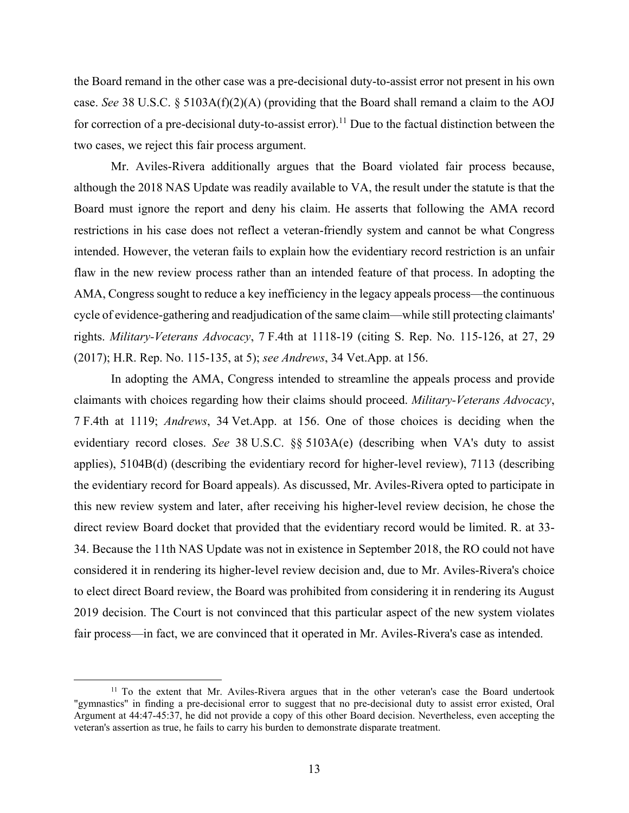the Board remand in the other case was a pre-decisional duty-to-assist error not present in his own case. *See* 38 U.S.C. § 5103A(f)(2)(A) (providing that the Board shall remand a claim to the AOJ for correction of a pre-decisional duty-to-assist error).<sup>11</sup> Due to the factual distinction between the two cases, we reject this fair process argument.

 Mr. Aviles-Rivera additionally argues that the Board violated fair process because, although the 2018 NAS Update was readily available to VA, the result under the statute is that the Board must ignore the report and deny his claim. He asserts that following the AMA record restrictions in his case does not reflect a veteran-friendly system and cannot be what Congress intended. However, the veteran fails to explain how the evidentiary record restriction is an unfair flaw in the new review process rather than an intended feature of that process. In adopting the AMA, Congress sought to reduce a key inefficiency in the legacy appeals process—the continuous cycle of evidence-gathering and readjudication of the same claim—while still protecting claimants' rights. *Military-Veterans Advocacy*, 7 F.4th at 1118-19 (citing S. Rep. No. 115-126, at 27, 29 (2017); H.R. Rep. No. 115-135, at 5); *see Andrews*, 34 Vet.App. at 156.

In adopting the AMA, Congress intended to streamline the appeals process and provide claimants with choices regarding how their claims should proceed. *Military-Veterans Advocacy*, 7 F.4th at 1119; *Andrews*, 34 Vet.App. at 156. One of those choices is deciding when the evidentiary record closes. *See* 38 U.S.C. §§ 5103A(e) (describing when VA's duty to assist applies), 5104B(d) (describing the evidentiary record for higher-level review), 7113 (describing the evidentiary record for Board appeals). As discussed, Mr. Aviles-Rivera opted to participate in this new review system and later, after receiving his higher-level review decision, he chose the direct review Board docket that provided that the evidentiary record would be limited. R. at 33- 34. Because the 11th NAS Update was not in existence in September 2018, the RO could not have considered it in rendering its higher-level review decision and, due to Mr. Aviles-Rivera's choice to elect direct Board review, the Board was prohibited from considering it in rendering its August 2019 decision. The Court is not convinced that this particular aspect of the new system violates fair process—in fact, we are convinced that it operated in Mr. Aviles-Rivera's case as intended.

<sup>&</sup>lt;sup>11</sup> To the extent that Mr. Aviles-Rivera argues that in the other veteran's case the Board undertook "gymnastics" in finding a pre-decisional error to suggest that no pre-decisional duty to assist error existed, Oral Argument at 44:47-45:37, he did not provide a copy of this other Board decision. Nevertheless, even accepting the veteran's assertion as true, he fails to carry his burden to demonstrate disparate treatment.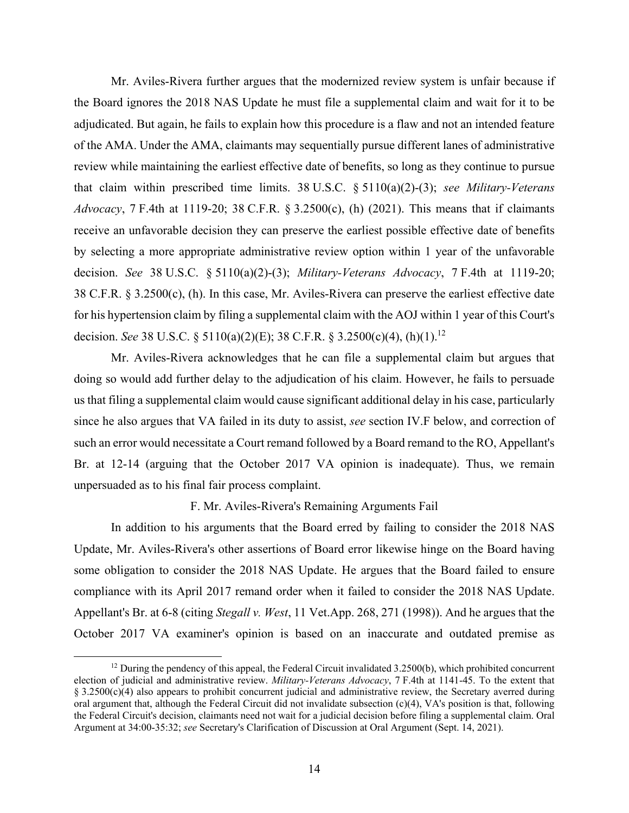Mr. Aviles-Rivera further argues that the modernized review system is unfair because if the Board ignores the 2018 NAS Update he must file a supplemental claim and wait for it to be adjudicated. But again, he fails to explain how this procedure is a flaw and not an intended feature of the AMA. Under the AMA, claimants may sequentially pursue different lanes of administrative review while maintaining the earliest effective date of benefits, so long as they continue to pursue that claim within prescribed time limits. 38 U.S.C. § 5110(a)(2)-(3); *see Military-Veterans Advocacy*, 7 F.4th at 1119-20; 38 C.F.R. § 3.2500(c), (h) (2021). This means that if claimants receive an unfavorable decision they can preserve the earliest possible effective date of benefits by selecting a more appropriate administrative review option within 1 year of the unfavorable decision. *See* 38 U.S.C. § 5110(a)(2)-(3); *Military-Veterans Advocacy*, 7 F.4th at 1119-20; 38 C.F.R. § 3.2500(c), (h). In this case, Mr. Aviles-Rivera can preserve the earliest effective date for his hypertension claim by filing a supplemental claim with the AOJ within 1 year of this Court's decision. *See* 38 U.S.C. § 5110(a)(2)(E); 38 C.F.R. § 3.2500(c)(4), (h)(1).12

 Mr. Aviles-Rivera acknowledges that he can file a supplemental claim but argues that doing so would add further delay to the adjudication of his claim. However, he fails to persuade us that filing a supplemental claim would cause significant additional delay in his case, particularly since he also argues that VA failed in its duty to assist, *see* section IV.F below, and correction of such an error would necessitate a Court remand followed by a Board remand to the RO, Appellant's Br. at 12-14 (arguing that the October 2017 VA opinion is inadequate). Thus, we remain unpersuaded as to his final fair process complaint.

F. Mr. Aviles-Rivera's Remaining Arguments Fail

 In addition to his arguments that the Board erred by failing to consider the 2018 NAS Update, Mr. Aviles-Rivera's other assertions of Board error likewise hinge on the Board having some obligation to consider the 2018 NAS Update. He argues that the Board failed to ensure compliance with its April 2017 remand order when it failed to consider the 2018 NAS Update. Appellant's Br. at 6-8 (citing *Stegall v. West*, 11 Vet.App. 268, 271 (1998)). And he argues that the October 2017 VA examiner's opinion is based on an inaccurate and outdated premise as

 $12$  During the pendency of this appeal, the Federal Circuit invalidated 3.2500(b), which prohibited concurrent election of judicial and administrative review. *Military-Veterans Advocacy*, 7 F.4th at 1141-45. To the extent that § 3.2500(c)(4) also appears to prohibit concurrent judicial and administrative review, the Secretary averred during oral argument that, although the Federal Circuit did not invalidate subsection (c)(4), VA's position is that, following the Federal Circuit's decision, claimants need not wait for a judicial decision before filing a supplemental claim. Oral Argument at 34:00-35:32; *see* Secretary's Clarification of Discussion at Oral Argument (Sept. 14, 2021).